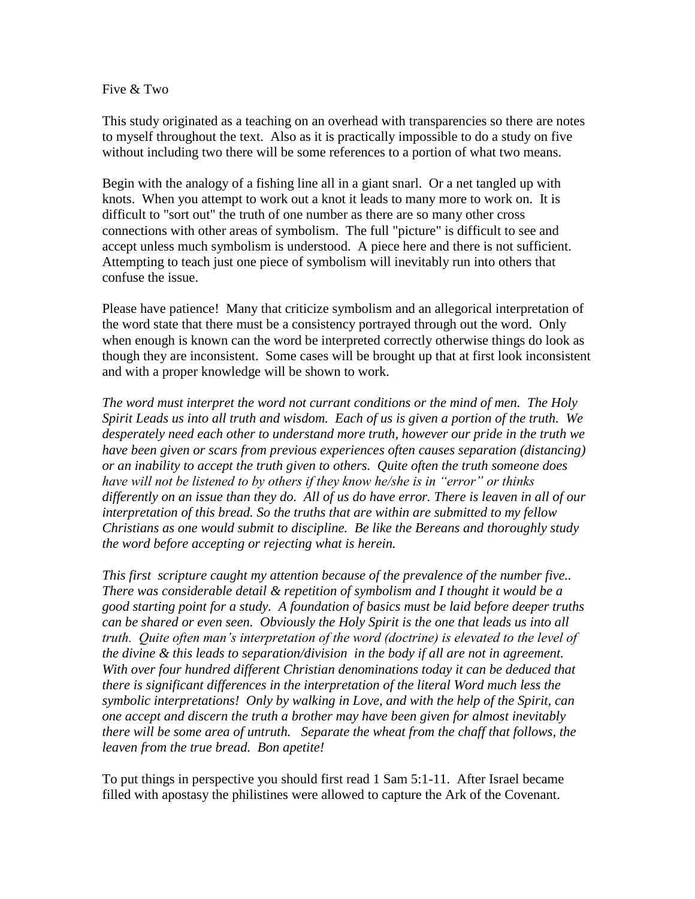## Five & Two

This study originated as a teaching on an overhead with transparencies so there are notes to myself throughout the text. Also as it is practically impossible to do a study on five without including two there will be some references to a portion of what two means.

Begin with the analogy of a fishing line all in a giant snarl. Or a net tangled up with knots. When you attempt to work out a knot it leads to many more to work on. It is difficult to "sort out" the truth of one number as there are so many other cross connections with other areas of symbolism. The full "picture" is difficult to see and accept unless much symbolism is understood. A piece here and there is not sufficient. Attempting to teach just one piece of symbolism will inevitably run into others that confuse the issue.

Please have patience! Many that criticize symbolism and an allegorical interpretation of the word state that there must be a consistency portrayed through out the word. Only when enough is known can the word be interpreted correctly otherwise things do look as though they are inconsistent. Some cases will be brought up that at first look inconsistent and with a proper knowledge will be shown to work.

*The word must interpret the word not currant conditions or the mind of men. The Holy Spirit Leads us into all truth and wisdom. Each of us is given a portion of the truth. We desperately need each other to understand more truth, however our pride in the truth we have been given or scars from previous experiences often causes separation (distancing) or an inability to accept the truth given to others. Quite often the truth someone does have will not be listened to by others if they know he/she is in "error" or thinks differently on an issue than they do. All of us do have error. There is leaven in all of our interpretation of this bread. So the truths that are within are submitted to my fellow Christians as one would submit to discipline. Be like the Bereans and thoroughly study the word before accepting or rejecting what is herein.*

*This first scripture caught my attention because of the prevalence of the number five.. There was considerable detail & repetition of symbolism and I thought it would be a good starting point for a study. A foundation of basics must be laid before deeper truths can be shared or even seen. Obviously the Holy Spirit is the one that leads us into all truth. Quite often man's interpretation of the word (doctrine) is elevated to the level of the divine & this leads to separation/division in the body if all are not in agreement. With over four hundred different Christian denominations today it can be deduced that there is significant differences in the interpretation of the literal Word much less the symbolic interpretations! Only by walking in Love, and with the help of the Spirit, can one accept and discern the truth a brother may have been given for almost inevitably there will be some area of untruth. Separate the wheat from the chaff that follows, the leaven from the true bread. Bon apetite!* 

To put things in perspective you should first read 1 Sam 5:1-11. After Israel became filled with apostasy the philistines were allowed to capture the Ark of the Covenant.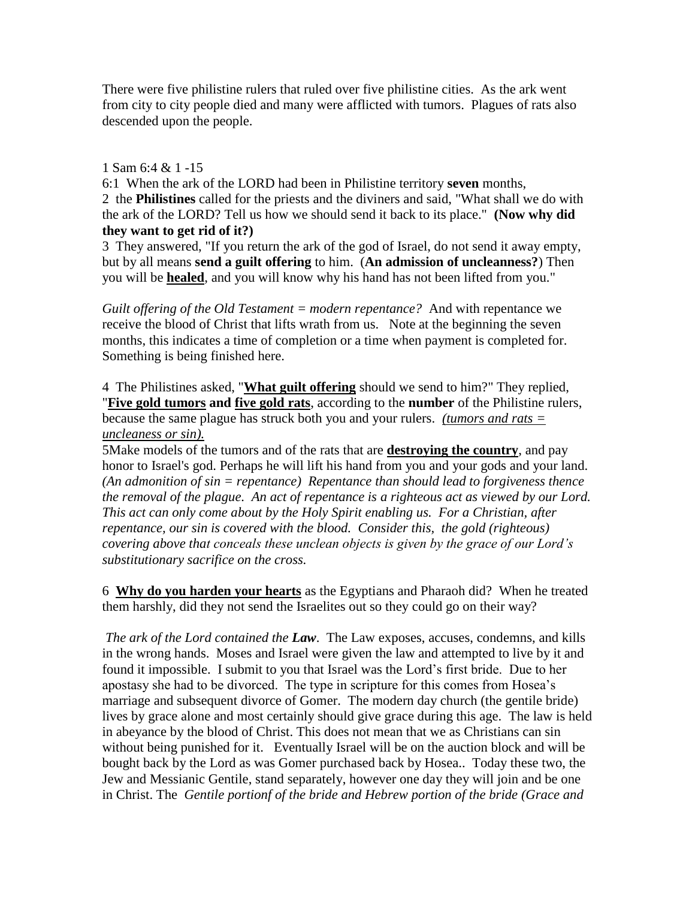There were five philistine rulers that ruled over five philistine cities. As the ark went from city to city people died and many were afflicted with tumors. Plagues of rats also descended upon the people.

# 1 Sam 6:4 & 1 -15

6:1 When the ark of the LORD had been in Philistine territory **seven** months, 2 the **Philistines** called for the priests and the diviners and said, "What shall we do with the ark of the LORD? Tell us how we should send it back to its place." **(Now why did they want to get rid of it?)**

3 They answered, "If you return the ark of the god of Israel, do not send it away empty, but by all means **send a guilt offering** to him. (**An admission of uncleanness?**) Then you will be **healed**, and you will know why his hand has not been lifted from you."

*Guilt offering of the Old Testament = modern repentance?* And with repentance we receive the blood of Christ that lifts wrath from us. Note at the beginning the seven months, this indicates a time of completion or a time when payment is completed for. Something is being finished here.

4 The Philistines asked, "**What guilt offering** should we send to him?" They replied, "**Five gold tumors and five gold rats**, according to the **number** of the Philistine rulers, because the same plague has struck both you and your rulers. *(tumors and rats = uncleaness or sin).* 

5Make models of the tumors and of the rats that are **destroying the country**, and pay honor to Israel's god. Perhaps he will lift his hand from you and your gods and your land. *(An admonition of sin = repentance) Repentance than should lead to forgiveness thence the removal of the plague. An act of repentance is a righteous act as viewed by our Lord. This act can only come about by the Holy Spirit enabling us. For a Christian, after repentance, our sin is covered with the blood. Consider this, the gold (righteous) covering above that conceals these unclean objects is given by the grace of our Lord's substitutionary sacrifice on the cross.* 

6 **Why do you harden your hearts** as the Egyptians and Pharaoh did? When he treated them harshly, did they not send the Israelites out so they could go on their way?

*The ark of the Lord contained the Law*. The Law exposes, accuses, condemns, and kills in the wrong hands. Moses and Israel were given the law and attempted to live by it and found it impossible. I submit to you that Israel was the Lord's first bride. Due to her apostasy she had to be divorced. The type in scripture for this comes from Hosea's marriage and subsequent divorce of Gomer. The modern day church (the gentile bride) lives by grace alone and most certainly should give grace during this age. The law is held in abeyance by the blood of Christ. This does not mean that we as Christians can sin without being punished for it. Eventually Israel will be on the auction block and will be bought back by the Lord as was Gomer purchased back by Hosea.. Today these two, the Jew and Messianic Gentile, stand separately, however one day they will join and be one in Christ. The *Gentile portionf of the bride and Hebrew portion of the bride (Grace and*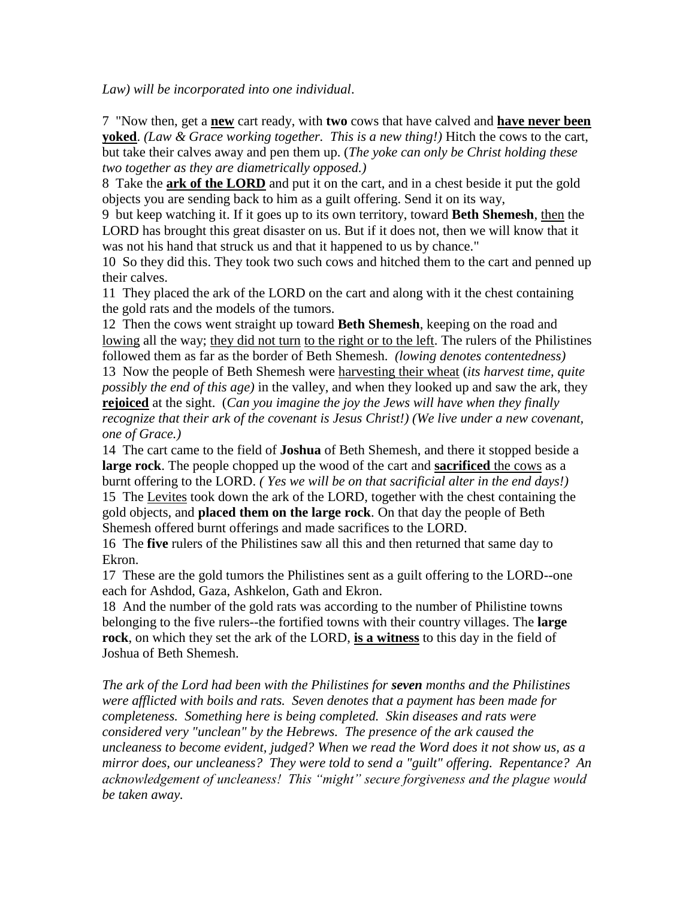*Law) will be incorporated into one individual*.

7 "Now then, get a **new** cart ready, with **two** cows that have calved and **have never been yoked**. *(Law & Grace working together. This is a new thing!)* Hitch the cows to the cart, but take their calves away and pen them up. (*The yoke can only be Christ holding these two together as they are diametrically opposed.)*

8 Take the **ark of the LORD** and put it on the cart, and in a chest beside it put the gold objects you are sending back to him as a guilt offering. Send it on its way,

9 but keep watching it. If it goes up to its own territory, toward **Beth Shemesh**, then the LORD has brought this great disaster on us. But if it does not, then we will know that it was not his hand that struck us and that it happened to us by chance."

10 So they did this. They took two such cows and hitched them to the cart and penned up their calves.

11 They placed the ark of the LORD on the cart and along with it the chest containing the gold rats and the models of the tumors.

12 Then the cows went straight up toward **Beth Shemesh**, keeping on the road and lowing all the way; they did not turn to the right or to the left. The rulers of the Philistines followed them as far as the border of Beth Shemesh. *(lowing denotes contentedness)*

13 Now the people of Beth Shemesh were harvesting their wheat (*its harvest time, quite possibly the end of this age)* in the valley, and when they looked up and saw the ark, they **rejoiced** at the sight. (*Can you imagine the joy the Jews will have when they finally recognize that their ark of the covenant is Jesus Christ!) (We live under a new covenant, one of Grace.)*

14 The cart came to the field of **Joshua** of Beth Shemesh, and there it stopped beside a **large rock**. The people chopped up the wood of the cart and **sacrificed** the cows as a burnt offering to the LORD. *( Yes we will be on that sacrificial alter in the end days!)* 15 The Levites took down the ark of the LORD, together with the chest containing the gold objects, and **placed them on the large rock**. On that day the people of Beth Shemesh offered burnt offerings and made sacrifices to the LORD.

16 The **five** rulers of the Philistines saw all this and then returned that same day to Ekron.

17 These are the gold tumors the Philistines sent as a guilt offering to the LORD--one each for Ashdod, Gaza, Ashkelon, Gath and Ekron.

18 And the number of the gold rats was according to the number of Philistine towns belonging to the five rulers--the fortified towns with their country villages. The **large rock**, on which they set the ark of the LORD, **is a witness** to this day in the field of Joshua of Beth Shemesh.

*The ark of the Lord had been with the Philistines for seven months and the Philistines were afflicted with boils and rats. Seven denotes that a payment has been made for completeness. Something here is being completed. Skin diseases and rats were considered very "unclean" by the Hebrews. The presence of the ark caused the uncleaness to become evident, judged? When we read the Word does it not show us, as a mirror does, our uncleaness? They were told to send a "guilt" offering. Repentance? An acknowledgement of uncleaness! This "might" secure forgiveness and the plague would be taken away.*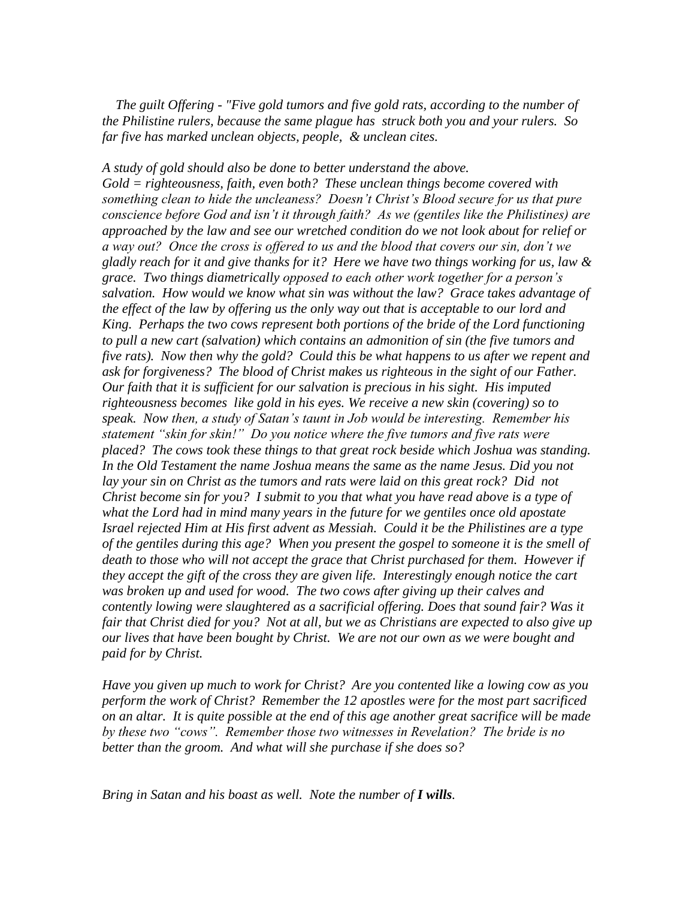*The guilt Offering - "Five gold tumors and five gold rats, according to the number of the Philistine rulers, because the same plague has struck both you and your rulers. So far five has marked unclean objects, people, & unclean cites.*

# *A study of gold should also be done to better understand the above.*

*Gold = righteousness, faith, even both? These unclean things become covered with something clean to hide the uncleaness? Doesn't Christ's Blood secure for us that pure conscience before God and isn't it through faith? As we (gentiles like the Philistines) are approached by the law and see our wretched condition do we not look about for relief or a way out? Once the cross is offered to us and the blood that covers our sin, don't we gladly reach for it and give thanks for it? Here we have two things working for us, law & grace. Two things diametrically opposed to each other work together for a person's salvation. How would we know what sin was without the law? Grace takes advantage of the effect of the law by offering us the only way out that is acceptable to our lord and King. Perhaps the two cows represent both portions of the bride of the Lord functioning to pull a new cart (salvation) which contains an admonition of sin (the five tumors and five rats). Now then why the gold? Could this be what happens to us after we repent and ask for forgiveness? The blood of Christ makes us righteous in the sight of our Father. Our faith that it is sufficient for our salvation is precious in his sight. His imputed righteousness becomes like gold in his eyes. We receive a new skin (covering) so to speak. Now then, a study of Satan's taunt in Job would be interesting. Remember his statement "skin for skin!" Do you notice where the five tumors and five rats were placed? The cows took these things to that great rock beside which Joshua was standing.*  In the Old Testament the name Joshua means the same as the name Jesus. Did you not lay your sin on Christ as the tumors and rats were laid on this great rock? Did not *Christ become sin for you? I submit to you that what you have read above is a type of what the Lord had in mind many years in the future for we gentiles once old apostate Israel rejected Him at His first advent as Messiah. Could it be the Philistines are a type of the gentiles during this age? When you present the gospel to someone it is the smell of*  death to those who will not accept the grace that Christ purchased for them. However if *they accept the gift of the cross they are given life. Interestingly enough notice the cart was broken up and used for wood. The two cows after giving up their calves and contently lowing were slaughtered as a sacrificial offering. Does that sound fair? Was it fair that Christ died for you? Not at all, but we as Christians are expected to also give up our lives that have been bought by Christ. We are not our own as we were bought and paid for by Christ.*

*Have you given up much to work for Christ? Are you contented like a lowing cow as you perform the work of Christ? Remember the 12 apostles were for the most part sacrificed on an altar. It is quite possible at the end of this age another great sacrifice will be made by these two "cows". Remember those two witnesses in Revelation? The bride is no better than the groom. And what will she purchase if she does so?*

*Bring in Satan and his boast as well. Note the number of I wills.*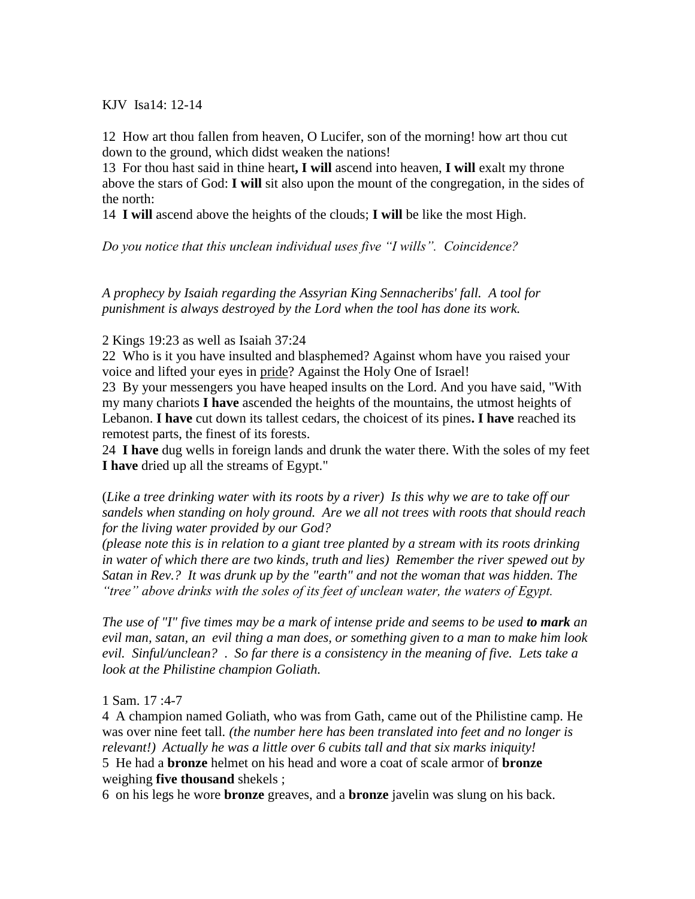KJV Isa14: 12-14

12 How art thou fallen from heaven, O Lucifer, son of the morning! how art thou cut down to the ground, which didst weaken the nations!

13 For thou hast said in thine heart**, I will** ascend into heaven, **I will** exalt my throne above the stars of God: **I will** sit also upon the mount of the congregation, in the sides of the north:

14 **I will** ascend above the heights of the clouds; **I will** be like the most High.

*Do you notice that this unclean individual uses five "I wills". Coincidence?*

*A prophecy by Isaiah regarding the Assyrian King Sennacheribs' fall. A tool for punishment is always destroyed by the Lord when the tool has done its work.*

2 Kings 19:23 as well as Isaiah 37:24

22 Who is it you have insulted and blasphemed? Against whom have you raised your voice and lifted your eyes in pride? Against the Holy One of Israel!

23 By your messengers you have heaped insults on the Lord. And you have said, "With my many chariots **I have** ascended the heights of the mountains, the utmost heights of Lebanon. **I have** cut down its tallest cedars, the choicest of its pines**. I have** reached its remotest parts, the finest of its forests.

24 **I have** dug wells in foreign lands and drunk the water there. With the soles of my feet **I have** dried up all the streams of Egypt."

(*Like a tree drinking water with its roots by a river) Is this why we are to take off our sandels when standing on holy ground. Are we all not trees with roots that should reach for the living water provided by our God?*

*(please note this is in relation to a giant tree planted by a stream with its roots drinking in water of which there are two kinds, truth and lies) Remember the river spewed out by Satan in Rev.? It was drunk up by the "earth" and not the woman that was hidden. The "tree" above drinks with the soles of its feet of unclean water, the waters of Egypt.*

*The use of "I" five times may be a mark of intense pride and seems to be used to mark an evil man, satan, an evil thing a man does, or something given to a man to make him look evil. Sinful/unclean?* . *So far there is a consistency in the meaning of five. Lets take a look at the Philistine champion Goliath.*

1 Sam. 17 :4-7

4 A champion named Goliath, who was from Gath, came out of the Philistine camp. He was over nine feet tall*. (the number here has been translated into feet and no longer is relevant!) Actually he was a little over 6 cubits tall and that six marks iniquity!* 5 He had a **bronze** helmet on his head and wore a coat of scale armor of **bronze** weighing **five thousand** shekels ;

6 on his legs he wore **bronze** greaves, and a **bronze** javelin was slung on his back.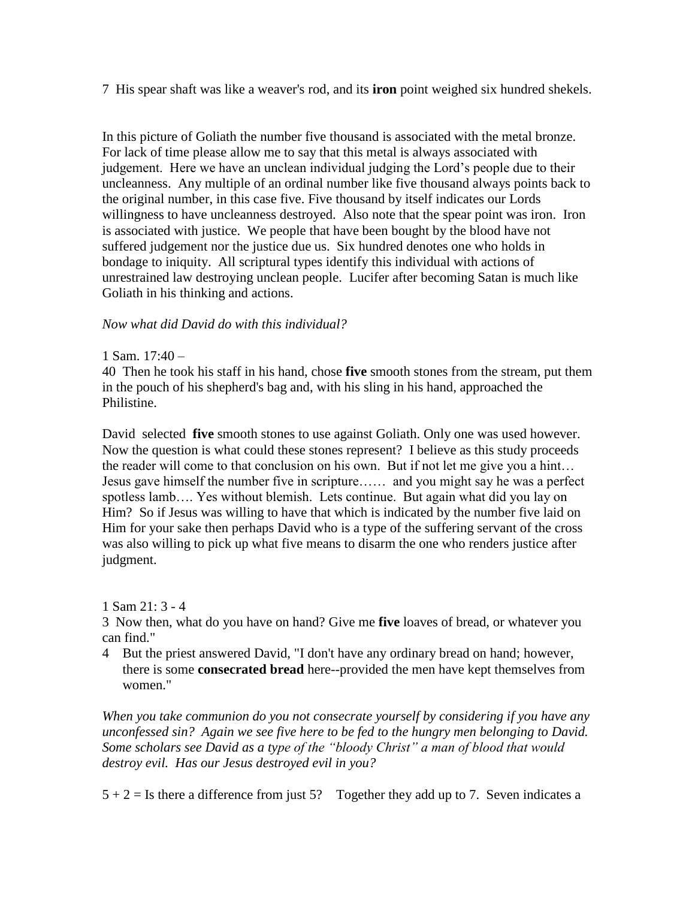7 His spear shaft was like a weaver's rod, and its **iron** point weighed six hundred shekels.

In this picture of Goliath the number five thousand is associated with the metal bronze. For lack of time please allow me to say that this metal is always associated with judgement. Here we have an unclean individual judging the Lord's people due to their uncleanness. Any multiple of an ordinal number like five thousand always points back to the original number, in this case five. Five thousand by itself indicates our Lords willingness to have uncleanness destroyed. Also note that the spear point was iron. Iron is associated with justice. We people that have been bought by the blood have not suffered judgement nor the justice due us. Six hundred denotes one who holds in bondage to iniquity. All scriptural types identify this individual with actions of unrestrained law destroying unclean people. Lucifer after becoming Satan is much like Goliath in his thinking and actions.

# *Now what did David do with this individual?*

## 1 Sam. 17:40 –

40 Then he took his staff in his hand, chose **five** smooth stones from the stream, put them in the pouch of his shepherd's bag and, with his sling in his hand, approached the Philistine.

David selected **five** smooth stones to use against Goliath. Only one was used however. Now the question is what could these stones represent? I believe as this study proceeds the reader will come to that conclusion on his own. But if not let me give you a hint… Jesus gave himself the number five in scripture…… and you might say he was a perfect spotless lamb…. Yes without blemish. Lets continue. But again what did you lay on Him? So if Jesus was willing to have that which is indicated by the number five laid on Him for your sake then perhaps David who is a type of the suffering servant of the cross was also willing to pick up what five means to disarm the one who renders justice after judgment.

#### 1 Sam 21: 3 - 4

3 Now then, what do you have on hand? Give me **five** loaves of bread, or whatever you can find."

4 But the priest answered David, "I don't have any ordinary bread on hand; however, there is some **consecrated bread** here--provided the men have kept themselves from women."

*When you take communion do you not consecrate yourself by considering if you have any unconfessed sin? Again we see five here to be fed to the hungry men belonging to David. Some scholars see David as a type of the "bloody Christ" a man of blood that would destroy evil. Has our Jesus destroyed evil in you?* 

 $5 + 2 =$  Is there a difference from just 5? Together they add up to 7. Seven indicates a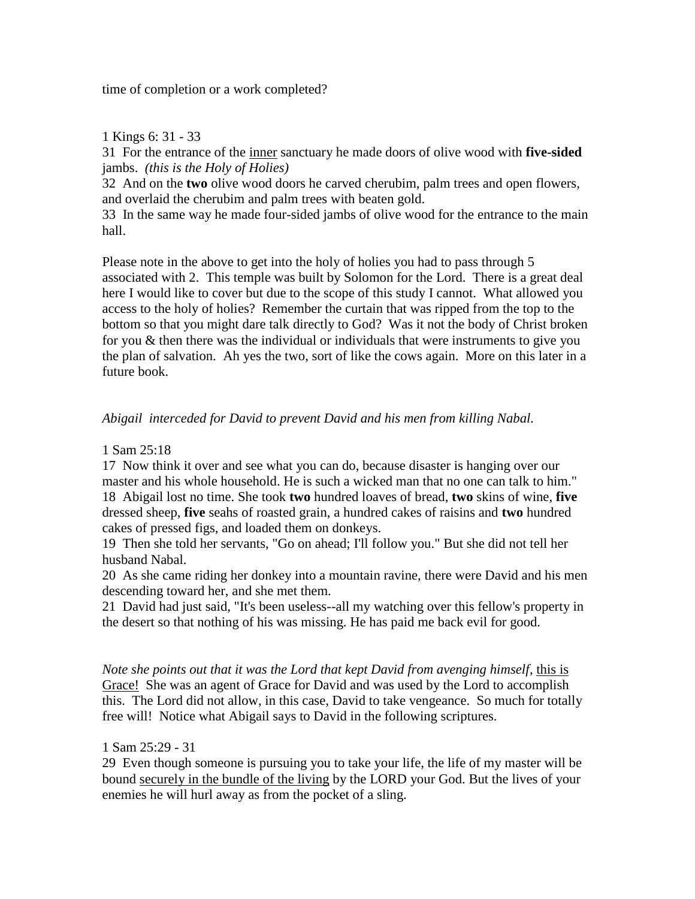time of completion or a work completed?

# 1 Kings 6: 31 - 33

31 For the entrance of the inner sanctuary he made doors of olive wood with **five-sided** jambs. *(this is the Holy of Holies)*

32 And on the **two** olive wood doors he carved cherubim, palm trees and open flowers, and overlaid the cherubim and palm trees with beaten gold.

33 In the same way he made four-sided jambs of olive wood for the entrance to the main hall.

Please note in the above to get into the holy of holies you had to pass through 5 associated with 2. This temple was built by Solomon for the Lord. There is a great deal here I would like to cover but due to the scope of this study I cannot. What allowed you access to the holy of holies? Remember the curtain that was ripped from the top to the bottom so that you might dare talk directly to God? Was it not the body of Christ broken for you & then there was the individual or individuals that were instruments to give you the plan of salvation. Ah yes the two, sort of like the cows again. More on this later in a future book.

# *Abigail interceded for David to prevent David and his men from killing Nabal.*

# 1 Sam 25:18

17 Now think it over and see what you can do, because disaster is hanging over our master and his whole household. He is such a wicked man that no one can talk to him." 18 Abigail lost no time. She took **two** hundred loaves of bread, **two** skins of wine, **five** dressed sheep, **five** seahs of roasted grain, a hundred cakes of raisins and **two** hundred cakes of pressed figs, and loaded them on donkeys.

19 Then she told her servants, "Go on ahead; I'll follow you." But she did not tell her husband Nabal.

20 As she came riding her donkey into a mountain ravine, there were David and his men descending toward her, and she met them.

21 David had just said, "It's been useless--all my watching over this fellow's property in the desert so that nothing of his was missing. He has paid me back evil for good.

*Note she points out that it was the Lord that kept David from avenging himself*, this is Grace! She was an agent of Grace for David and was used by the Lord to accomplish this. The Lord did not allow, in this case, David to take vengeance. So much for totally free will! Notice what Abigail says to David in the following scriptures.

# 1 Sam 25:29 - 31

29 Even though someone is pursuing you to take your life, the life of my master will be bound securely in the bundle of the living by the LORD your God. But the lives of your enemies he will hurl away as from the pocket of a sling.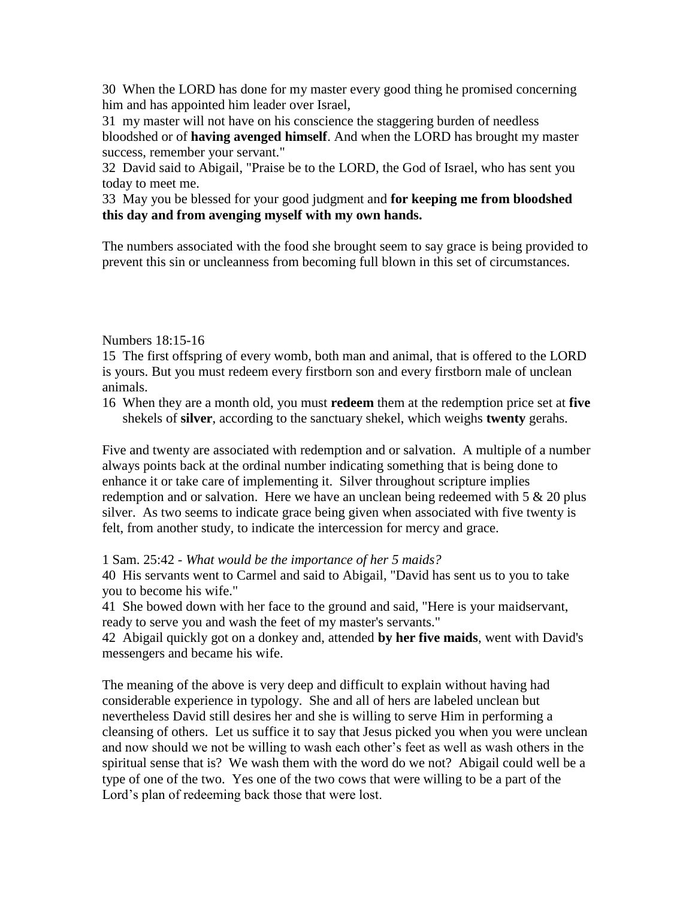30 When the LORD has done for my master every good thing he promised concerning him and has appointed him leader over Israel,

31 my master will not have on his conscience the staggering burden of needless bloodshed or of **having avenged himself**. And when the LORD has brought my master success, remember your servant."

32 David said to Abigail, "Praise be to the LORD, the God of Israel, who has sent you today to meet me.

33 May you be blessed for your good judgment and **for keeping me from bloodshed this day and from avenging myself with my own hands.**

The numbers associated with the food she brought seem to say grace is being provided to prevent this sin or uncleanness from becoming full blown in this set of circumstances.

Numbers 18:15-16

15 The first offspring of every womb, both man and animal, that is offered to the LORD is yours. But you must redeem every firstborn son and every firstborn male of unclean animals.

16 When they are a month old, you must **redeem** them at the redemption price set at **five** shekels of **silver**, according to the sanctuary shekel, which weighs **twenty** gerahs.

Five and twenty are associated with redemption and or salvation. A multiple of a number always points back at the ordinal number indicating something that is being done to enhance it or take care of implementing it. Silver throughout scripture implies redemption and or salvation. Here we have an unclean being redeemed with 5 & 20 plus silver. As two seems to indicate grace being given when associated with five twenty is felt, from another study, to indicate the intercession for mercy and grace.

1 Sam. 25:42 - *What would be the importance of her 5 maids?*

40 His servants went to Carmel and said to Abigail, "David has sent us to you to take you to become his wife."

41 She bowed down with her face to the ground and said, "Here is your maidservant, ready to serve you and wash the feet of my master's servants."

42 Abigail quickly got on a donkey and, attended **by her five maids**, went with David's messengers and became his wife.

The meaning of the above is very deep and difficult to explain without having had considerable experience in typology. She and all of hers are labeled unclean but nevertheless David still desires her and she is willing to serve Him in performing a cleansing of others. Let us suffice it to say that Jesus picked you when you were unclean and now should we not be willing to wash each other's feet as well as wash others in the spiritual sense that is? We wash them with the word do we not? Abigail could well be a type of one of the two. Yes one of the two cows that were willing to be a part of the Lord's plan of redeeming back those that were lost.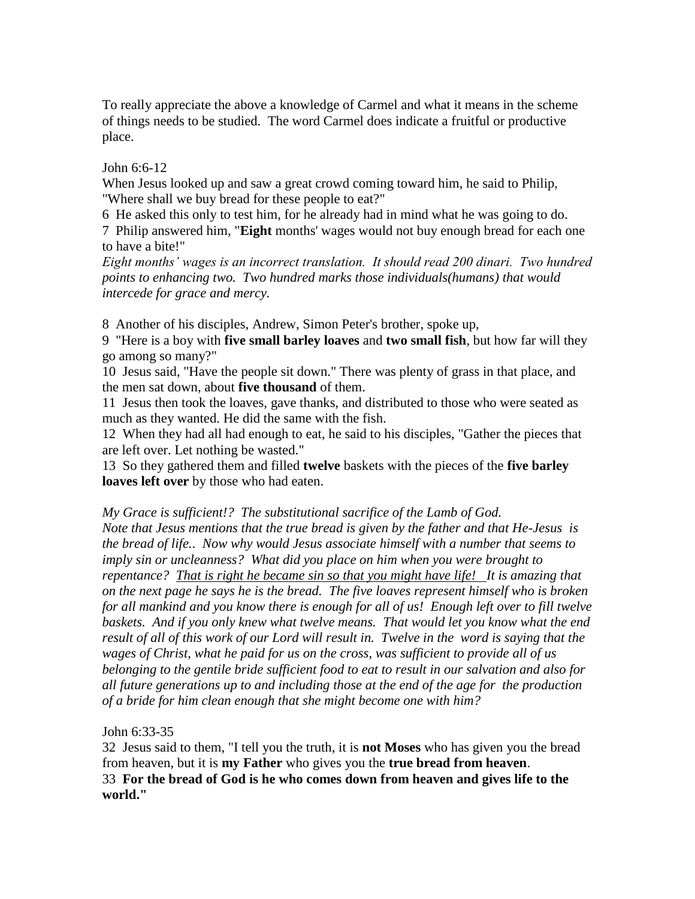To really appreciate the above a knowledge of Carmel and what it means in the scheme of things needs to be studied. The word Carmel does indicate a fruitful or productive place.

John 6:6-12

When Jesus looked up and saw a great crowd coming toward him, he said to Philip, "Where shall we buy bread for these people to eat?"

6 He asked this only to test him, for he already had in mind what he was going to do.

7 Philip answered him, "**Eight** months' wages would not buy enough bread for each one to have a bite!"

*Eight months' wages is an incorrect translation. It should read 200 dinari. Two hundred points to enhancing two. Two hundred marks those individuals(humans) that would intercede for grace and mercy.*

8 Another of his disciples, Andrew, Simon Peter's brother, spoke up,

9 "Here is a boy with **five small barley loaves** and **two small fish**, but how far will they go among so many?"

10 Jesus said, "Have the people sit down." There was plenty of grass in that place, and the men sat down, about **five thousand** of them.

11 Jesus then took the loaves, gave thanks, and distributed to those who were seated as much as they wanted. He did the same with the fish.

12 When they had all had enough to eat, he said to his disciples, "Gather the pieces that are left over. Let nothing be wasted."

13 So they gathered them and filled **twelve** baskets with the pieces of the **five barley loaves left over** by those who had eaten.

*My Grace is sufficient!? The substitutional sacrifice of the Lamb of God.* 

*Note that Jesus mentions that the true bread is given by the father and that He-Jesus is the bread of life.*. *Now why would Jesus associate himself with a number that seems to imply sin or uncleanness? What did you place on him when you were brought to repentance? That is right he became sin so that you might have life! It is amazing that on the next page he says he is the bread. The five loaves represent himself who is broken for all mankind and you know there is enough for all of us! Enough left over to fill twelve*  baskets. And if you only knew what twelve means. That would let you know what the end *result of all of this work of our Lord will result in. Twelve in the word is saying that the wages of Christ, what he paid for us on the cross, was sufficient to provide all of us belonging to the gentile bride sufficient food to eat to result in our salvation and also for all future generations up to and including those at the end of the age for the production of a bride for him clean enough that she might become one with him?*

John 6:33-35

32 Jesus said to them, "I tell you the truth, it is **not Moses** who has given you the bread from heaven, but it is **my Father** who gives you the **true bread from heaven**. 33 **For the bread of God is he who comes down from heaven and gives life to the world."**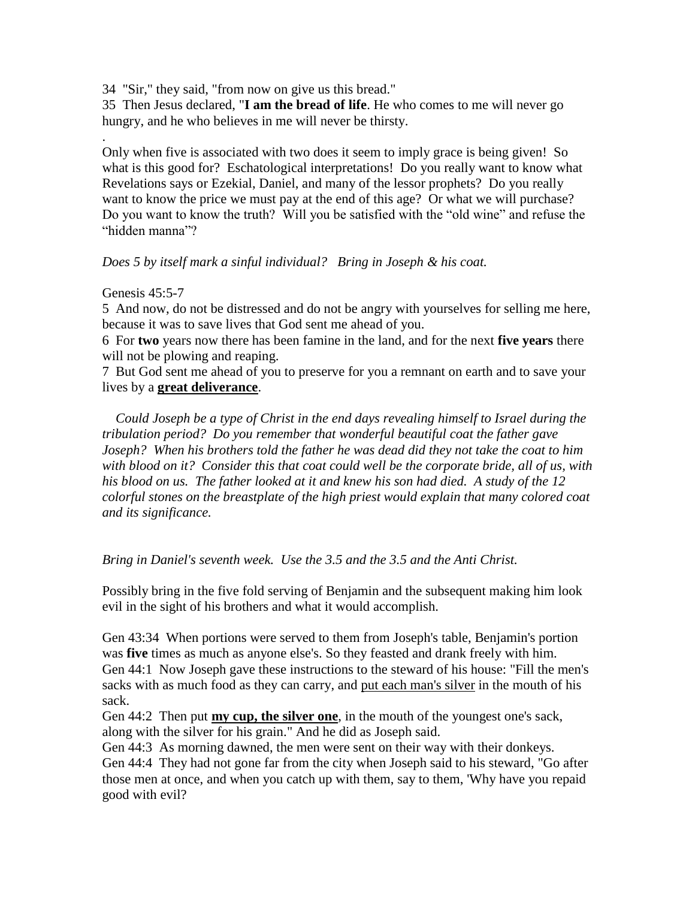34 "Sir," they said, "from now on give us this bread."

35 Then Jesus declared, "**I am the bread of life**. He who comes to me will never go hungry, and he who believes in me will never be thirsty.

Only when five is associated with two does it seem to imply grace is being given! So what is this good for? Eschatological interpretations! Do you really want to know what Revelations says or Ezekial, Daniel, and many of the lessor prophets? Do you really want to know the price we must pay at the end of this age? Or what we will purchase? Do you want to know the truth? Will you be satisfied with the "old wine" and refuse the "hidden manna"?

# *Does 5 by itself mark a sinful individual? Bring in Joseph & his coat.*

## Genesis 45:5-7

.

5 And now, do not be distressed and do not be angry with yourselves for selling me here, because it was to save lives that God sent me ahead of you.

6 For **two** years now there has been famine in the land, and for the next **five years** there will not be plowing and reaping.

7 But God sent me ahead of you to preserve for you a remnant on earth and to save your lives by a **great deliverance**.

 *Could Joseph be a type of Christ in the end days revealing himself to Israel during the tribulation period? Do you remember that wonderful beautiful coat the father gave Joseph? When his brothers told the father he was dead did they not take the coat to him with blood on it? Consider this that coat could well be the corporate bride, all of us, with his blood on us. The father looked at it and knew his son had died. A study of the 12 colorful stones on the breastplate of the high priest would explain that many colored coat and its significance.* 

# *Bring in Daniel's seventh week. Use the 3.5 and the 3.5 and the Anti Christ.*

Possibly bring in the five fold serving of Benjamin and the subsequent making him look evil in the sight of his brothers and what it would accomplish.

Gen 43:34 When portions were served to them from Joseph's table, Benjamin's portion was **five** times as much as anyone else's. So they feasted and drank freely with him. Gen 44:1 Now Joseph gave these instructions to the steward of his house: "Fill the men's sacks with as much food as they can carry, and put each man's silver in the mouth of his sack.

Gen 44:2 Then put **my cup, the silver one**, in the mouth of the youngest one's sack, along with the silver for his grain." And he did as Joseph said.

Gen 44:3 As morning dawned, the men were sent on their way with their donkeys.

Gen 44:4 They had not gone far from the city when Joseph said to his steward, "Go after those men at once, and when you catch up with them, say to them, 'Why have you repaid good with evil?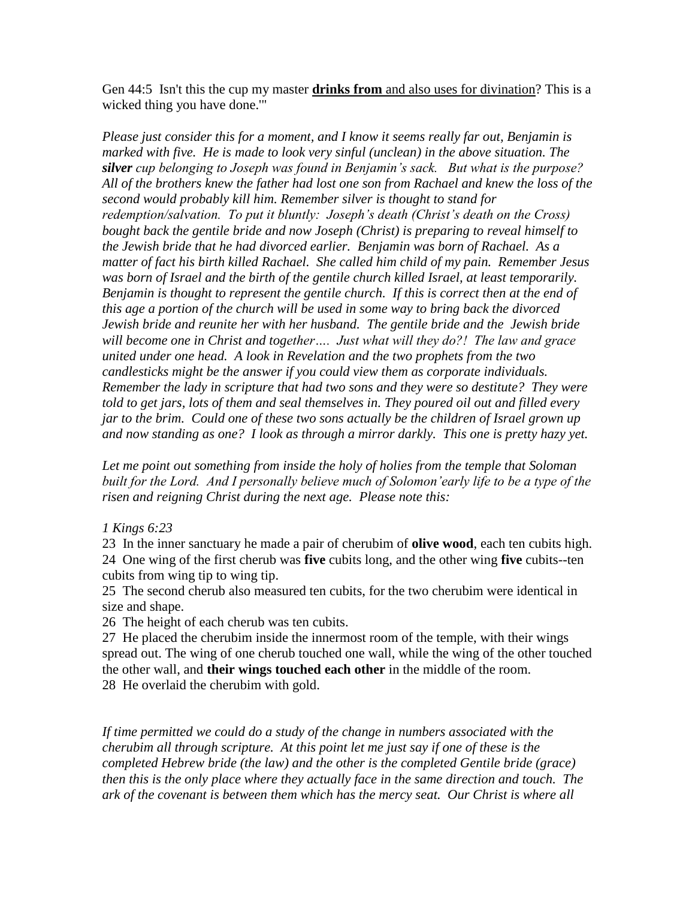Gen 44:5 Isn't this the cup my master **drinks from** and also uses for divination? This is a wicked thing you have done.'"

*Please just consider this for a moment, and I know it seems really far out, Benjamin is marked with five. He is made to look very sinful (unclean) in the above situation. The silver cup belonging to Joseph was found in Benjamin's sack. But what is the purpose? All of the brothers knew the father had lost one son from Rachael and knew the loss of the second would probably kill him. Remember silver is thought to stand for redemption/salvation. To put it bluntly: Joseph's death (Christ's death on the Cross) bought back the gentile bride and now Joseph (Christ) is preparing to reveal himself to the Jewish bride that he had divorced earlier. Benjamin was born of Rachael. As a matter of fact his birth killed Rachael. She called him child of my pain. Remember Jesus was born of Israel and the birth of the gentile church killed Israel, at least temporarily. Benjamin is thought to represent the gentile church. If this is correct then at the end of this age a portion of the church will be used in some way to bring back the divorced Jewish bride and reunite her with her husband. The gentile bride and the Jewish bride will become one in Christ and together…. Just what will they do?! The law and grace united under one head. A look in Revelation and the two prophets from the two candlesticks might be the answer if you could view them as corporate individuals. Remember the lady in scripture that had two sons and they were so destitute? They were told to get jars, lots of them and seal themselves in. They poured oil out and filled every jar to the brim. Could one of these two sons actually be the children of Israel grown up and now standing as one? I look as through a mirror darkly. This one is pretty hazy yet.*

*Let me point out something from inside the holy of holies from the temple that Soloman built for the Lord. And I personally believe much of Solomon'early life to be a type of the risen and reigning Christ during the next age. Please note this:*

*1 Kings 6:23*

23 In the inner sanctuary he made a pair of cherubim of **olive wood**, each ten cubits high. 24 One wing of the first cherub was **five** cubits long, and the other wing **five** cubits--ten cubits from wing tip to wing tip.

25 The second cherub also measured ten cubits, for the two cherubim were identical in size and shape.

26 The height of each cherub was ten cubits.

27 He placed the cherubim inside the innermost room of the temple, with their wings spread out. The wing of one cherub touched one wall, while the wing of the other touched the other wall, and **their wings touched each other** in the middle of the room. 28 He overlaid the cherubim with gold.

*If time permitted we could do a study of the change in numbers associated with the cherubim all through scripture. At this point let me just say if one of these is the completed Hebrew bride (the law) and the other is the completed Gentile bride (grace) then this is the only place where they actually face in the same direction and touch. The ark of the covenant is between them which has the mercy seat. Our Christ is where all*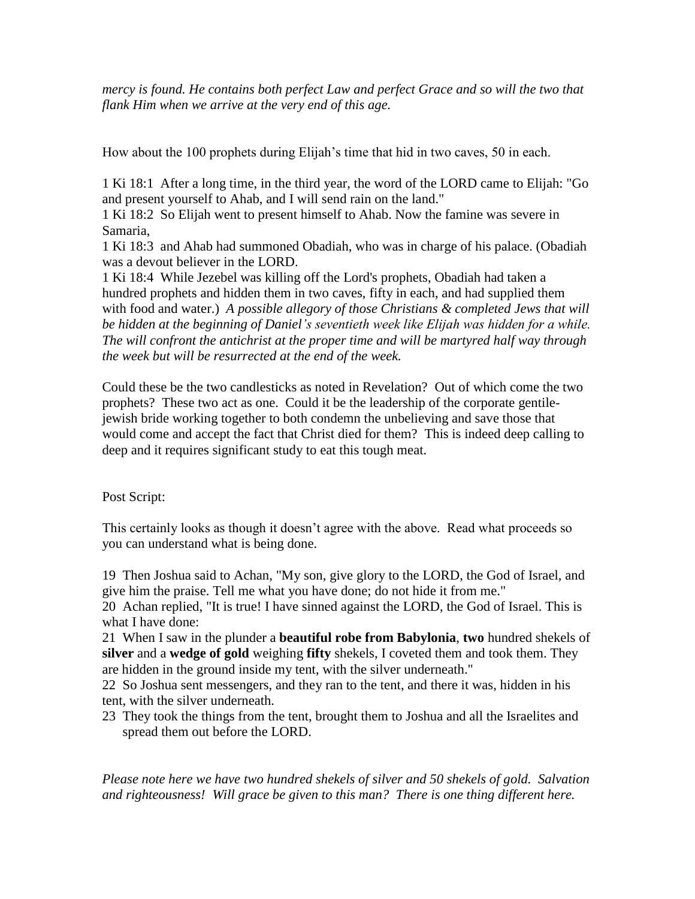*mercy is found. He contains both perfect Law and perfect Grace and so will the two that flank Him when we arrive at the very end of this age.* 

How about the 100 prophets during Elijah's time that hid in two caves, 50 in each.

1 Ki 18:1 After a long time, in the third year, the word of the LORD came to Elijah: "Go and present yourself to Ahab, and I will send rain on the land."

1 Ki 18:2 So Elijah went to present himself to Ahab. Now the famine was severe in Samaria,

1 Ki 18:3 and Ahab had summoned Obadiah, who was in charge of his palace. (Obadiah was a devout believer in the LORD.

1 Ki 18:4 While Jezebel was killing off the Lord's prophets, Obadiah had taken a hundred prophets and hidden them in two caves, fifty in each, and had supplied them with food and water.) *A possible allegory of those Christians & completed Jews that will be hidden at the beginning of Daniel's seventieth week like Elijah was hidden for a while. The will confront the antichrist at the proper time and will be martyred half way through the week but will be resurrected at the end of the week.*

Could these be the two candlesticks as noted in Revelation? Out of which come the two prophets? These two act as one. Could it be the leadership of the corporate gentilejewish bride working together to both condemn the unbelieving and save those that would come and accept the fact that Christ died for them? This is indeed deep calling to deep and it requires significant study to eat this tough meat.

Post Script:

This certainly looks as though it doesn't agree with the above. Read what proceeds so you can understand what is being done.

19 Then Joshua said to Achan, "My son, give glory to the LORD, the God of Israel, and give him the praise. Tell me what you have done; do not hide it from me."

20 Achan replied, "It is true! I have sinned against the LORD, the God of Israel. This is what I have done:

21 When I saw in the plunder a **beautiful robe from Babylonia**, **two** hundred shekels of **silver** and a **wedge of gold** weighing **fifty** shekels, I coveted them and took them. They are hidden in the ground inside my tent, with the silver underneath."

22 So Joshua sent messengers, and they ran to the tent, and there it was, hidden in his tent, with the silver underneath.

23 They took the things from the tent, brought them to Joshua and all the Israelites and spread them out before the LORD.

*Please note here we have two hundred shekels of silver and 50 shekels of gold. Salvation and righteousness! Will grace be given to this man? There is one thing different here.*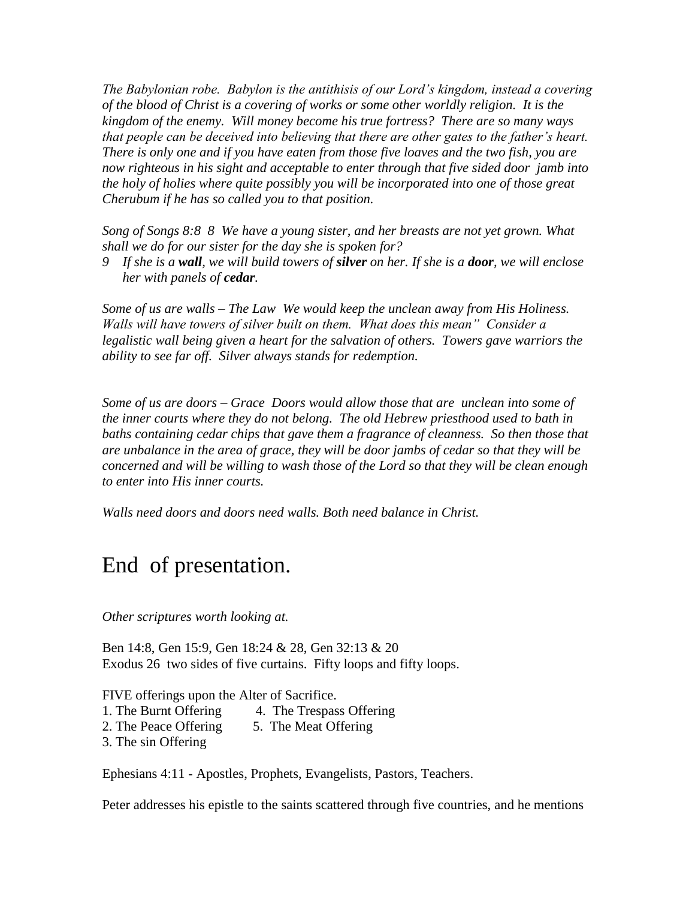*The Babylonian robe. Babylon is the antithisis of our Lord's kingdom, instead a covering of the blood of Christ is a covering of works or some other worldly religion. It is the kingdom of the enemy. Will money become his true fortress? There are so many ways that people can be deceived into believing that there are other gates to the father's heart. There is only one and if you have eaten from those five loaves and the two fish, you are now righteous in his sight and acceptable to enter through that five sided door jamb into the holy of holies where quite possibly you will be incorporated into one of those great Cherubum if he has so called you to that position.*

*Song of Songs 8:8 8 We have a young sister, and her breasts are not yet grown. What shall we do for our sister for the day she is spoken for?*

*9 If she is a wall, we will build towers of silver on her. If she is a door, we will enclose her with panels of cedar.*

*Some of us are walls – The Law We would keep the unclean away from His Holiness. Walls will have towers of silver built on them. What does this mean" Consider a legalistic wall being given a heart for the salvation of others. Towers gave warriors the ability to see far off. Silver always stands for redemption.*

*Some of us are doors – Grace Doors would allow those that are unclean into some of the inner courts where they do not belong. The old Hebrew priesthood used to bath in baths containing cedar chips that gave them a fragrance of cleanness. So then those that are unbalance in the area of grace, they will be door jambs of cedar so that they will be concerned and will be willing to wash those of the Lord so that they will be clean enough to enter into His inner courts.*

*Walls need doors and doors need walls. Both need balance in Christ.* 

# End of presentation.

*Other scriptures worth looking at.*

Ben 14:8, Gen 15:9, Gen 18:24 & 28, Gen 32:13 & 20 Exodus 26 two sides of five curtains. Fifty loops and fifty loops.

FIVE offerings upon the Alter of Sacrifice.

- 1. The Burnt Offering 4. The Trespass Offering
- 2. The Peace Offering 5. The Meat Offering
- 3. The sin Offering

Ephesians 4:11 - Apostles, Prophets, Evangelists, Pastors, Teachers.

Peter addresses his epistle to the saints scattered through five countries, and he mentions